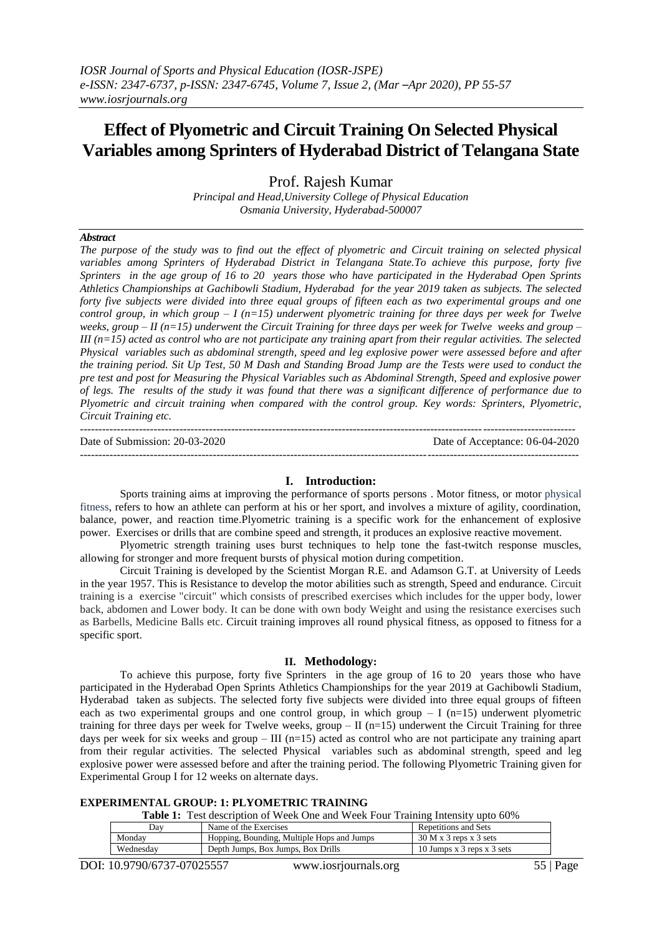# **Effect of Plyometric and Circuit Training On Selected Physical Variables among Sprinters of Hyderabad District of Telangana State**

Prof. Rajesh Kumar

*Principal and Head,University College of Physical Education Osmania University, Hyderabad-500007*

# *Abstract*

*The purpose of the study was to find out the effect of plyometric and Circuit training on selected physical variables among Sprinters of Hyderabad District in Telangana State.To achieve this purpose, forty five Sprinters in the age group of 16 to 20 years those who have participated in the Hyderabad Open Sprints Athletics Championships at Gachibowli Stadium, Hyderabad for the year 2019 taken as subjects. The selected forty five subjects were divided into three equal groups of fifteen each as two experimental groups and one control group, in which group – I (n=15) underwent plyometric training for three days per week for Twelve weeks, group – II (n=15) underwent the Circuit Training for three days per week for Twelve weeks and group – III (n=15) acted as control who are not participate any training apart from their regular activities. The selected Physical variables such as abdominal strength, speed and leg explosive power were assessed before and after the training period. Sit Up Test, 50 M Dash and Standing Broad Jump are the Tests were used to conduct the pre test and post for Measuring the Physical Variables such as Abdominal Strength, Speed and explosive power of legs. The results of the study it was found that there was a significant difference of performance due to Plyometric and circuit training when compared with the control group. Key words: Sprinters, Plyometric, Circuit Training etc.*

| Date of Submission: 20-03-2020 | Date of Acceptance: 06-04-2020 |
|--------------------------------|--------------------------------|
|                                |                                |

## **I. Introduction:**

Sports training aims at improving the performance of sports persons . Motor fitness, or motor [physical](http://www.wisegeek.com/what-is-physical-fitness.htm)  [fitness,](http://www.wisegeek.com/what-is-physical-fitness.htm) refers to how an athlete can perform at his or her sport, and involves a mixture of agility, coordination, balance, power, and reaction time.Plyometric training is a specific work for the enhancement of explosive power. Exercises or drills that are combine speed and strength, it produces an explosive reactive movement.

Plyometric strength training uses burst techniques to help tone the fast-twitch response muscles, allowing for stronger and more frequent bursts of physical motion during competition.

Circuit Training is developed by the Scientist Morgan R.E. and Adamson G.T. at University of Leeds in the year 1957. This is Resistance to develop the motor abilities such as strength, Speed and endurance. Circuit training is a exercise "circuit" which consists of prescribed exercises which includes for the upper body, lower back, abdomen and Lower body. It can be done with own body Weight and using the resistance exercises such as Barbells, Medicine Balls etc. Circuit training improves all round physical fitness, as opposed to fitness for a specific sport.

#### **II. Methodology:**

To achieve this purpose, forty five Sprinters in the age group of 16 to 20 years those who have participated in the Hyderabad Open Sprints Athletics Championships for the year 2019 at Gachibowli Stadium, Hyderabad taken as subjects. The selected forty five subjects were divided into three equal groups of fifteen each as two experimental groups and one control group, in which group  $- I$  (n=15) underwent plyometric training for three days per week for Twelve weeks, group – II (n=15) underwent the Circuit Training for three days per week for six weeks and group – III (n=15) acted as control who are not participate any training apart from their regular activities. The selected Physical variables such as abdominal strength, speed and leg explosive power were assessed before and after the training period. The following Plyometric Training given for Experimental Group I for 12 weeks on alternate days.

| <b>EXPERIMENTAL GROUP: 1: PLYOMETRIC TRAINING</b> |  |
|---------------------------------------------------|--|
|---------------------------------------------------|--|

| <b>Table 1:</b> Test description of Week One and Week Four Training Intensity upto 60% |  |
|----------------------------------------------------------------------------------------|--|
|----------------------------------------------------------------------------------------|--|

| Dav       | Name of the Exercises                      | Repetitions and Sets       |
|-----------|--------------------------------------------|----------------------------|
| Mondav    | Hopping, Bounding, Multiple Hops and Jumps | $30 M x 3$ reps x 3 sets   |
| Wednesdav | Depth Jumps, Box Jumps, Box Drills         | 10 Jumps x 3 reps x 3 sets |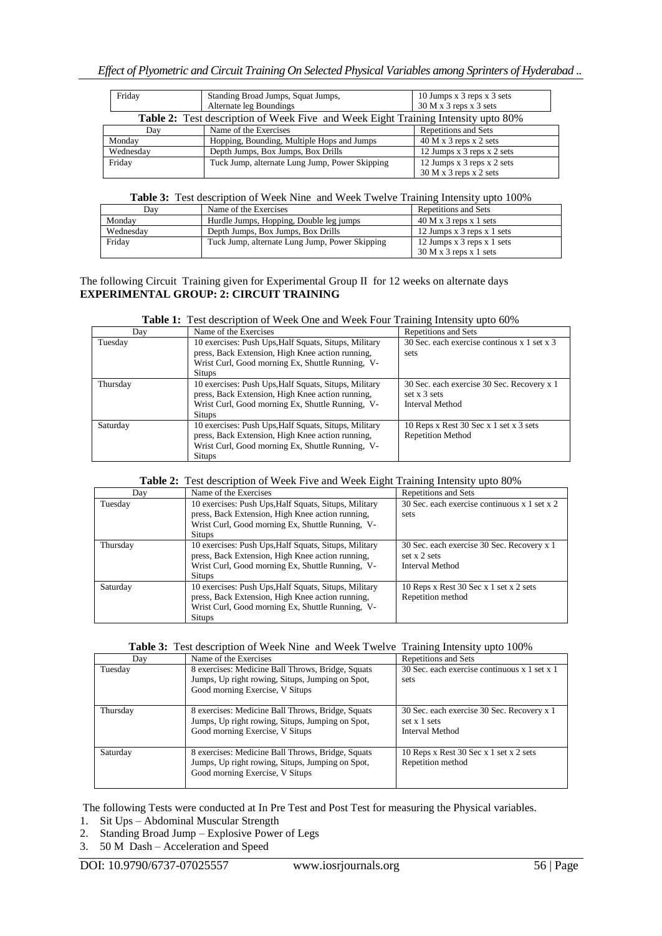| Friday                                                                                   | Standing Broad Jumps, Squat Jumps,<br>Alternate leg Boundings | 10 Jumps x 3 reps x 3 sets<br>$30 M x 3$ reps x 3 sets |  |
|------------------------------------------------------------------------------------------|---------------------------------------------------------------|--------------------------------------------------------|--|
| <b>Table 2:</b> Test description of Week Five and Week Eight Training Intensity upto 80% |                                                               |                                                        |  |
| Day                                                                                      | Name of the Exercises                                         | <b>Repetitions and Sets</b>                            |  |
| Monday                                                                                   | Hopping, Bounding, Multiple Hops and Jumps                    | $40 M x 3$ reps x 2 sets                               |  |
| Wednesday                                                                                | Depth Jumps, Box Jumps, Box Drills                            | 12 Jumps x 3 reps x 2 sets                             |  |
| Friday                                                                                   | Tuck Jump, alternate Lung Jump, Power Skipping                | 12 Jumps x 3 reps x 2 sets                             |  |
|                                                                                          |                                                               | $30 M x 3$ reps $x 2$ sets                             |  |

# **Table 3:** Test description of Week Nine and Week Twelve Training Intensity upto 100%

| Dav       | Name of the Exercises                          | Repetitions and Sets         |
|-----------|------------------------------------------------|------------------------------|
| Mondav    | Hurdle Jumps, Hopping, Double leg jumps        | $40 M x 3$ reps x 1 sets     |
| Wednesdav | Depth Jumps, Box Jumps, Box Drills             | 12 Jumps x $3$ reps x 1 sets |
| Fridav    | Tuck Jump, alternate Lung Jump, Power Skipping | 12 Jumps x 3 reps x 1 sets   |
|           |                                                | $30 M x 3$ reps x 1 sets     |

### The following Circuit Training given for Experimental Group II for 12 weeks on alternate days **EXPERIMENTAL GROUP: 2: CIRCUIT TRAINING**

| <b>Table 1:</b> Test description of Week One and Week Four Training Intensity upto 60% |
|----------------------------------------------------------------------------------------|
|----------------------------------------------------------------------------------------|

| Day      | Name of the Exercises                                 | Repetitions and Sets                        |
|----------|-------------------------------------------------------|---------------------------------------------|
| Tuesday  | 10 exercises: Push Ups, Half Squats, Situps, Military | 30 Sec. each exercise continuos x 1 set x 3 |
|          | press, Back Extension, High Knee action running,      | sets                                        |
|          | Wrist Curl, Good morning Ex, Shuttle Running, V-      |                                             |
|          | <b>Situps</b>                                         |                                             |
| Thursday | 10 exercises: Push Ups, Half Squats, Situps, Military | 30 Sec. each exercise 30 Sec. Recovery x 1  |
|          | press, Back Extension, High Knee action running,      | set $x \overline{3}$ sets                   |
|          | Wrist Curl, Good morning Ex, Shuttle Running, V-      | Interval Method                             |
|          | <b>Situps</b>                                         |                                             |
| Saturday | 10 exercises: Push Ups, Half Squats, Situps, Military | 10 Reps x Rest 30 Sec x 1 set x 3 sets      |
|          | press, Back Extension, High Knee action running,      | <b>Repetition Method</b>                    |
|          | Wrist Curl, Good morning Ex, Shuttle Running, V-      |                                             |
|          | <b>Situps</b>                                         |                                             |

#### **Table 2:** Test description of Week Five and Week Eight Training Intensity upto 80%

| Day      | Name of the Exercises                                 | Repetitions and Sets                         |
|----------|-------------------------------------------------------|----------------------------------------------|
| Tuesday  | 10 exercises: Push Ups, Half Squats, Situps, Military | 30 Sec. each exercise continuous x 1 set x 2 |
|          | press, Back Extension, High Knee action running,      | sets                                         |
|          | Wrist Curl, Good morning Ex, Shuttle Running, V-      |                                              |
|          | <b>Situps</b>                                         |                                              |
| Thursday | 10 exercises: Push Ups, Half Squats, Situps, Military | 30 Sec. each exercise 30 Sec. Recovery x 1   |
|          | press, Back Extension, High Knee action running,      | set x 2 sets                                 |
|          | Wrist Curl, Good morning Ex. Shuttle Running, V-      | Interval Method                              |
|          | <b>Situps</b>                                         |                                              |
| Saturday | 10 exercises: Push Ups, Half Squats, Situps, Military | 10 Reps x Rest $30$ Sec x 1 set x 2 sets     |
|          | press, Back Extension, High Knee action running,      | Repetition method                            |
|          | Wrist Curl, Good morning Ex, Shuttle Running, V-      |                                              |
|          | <b>Situps</b>                                         |                                              |

| <b>Table 3:</b> Test description of Week Nine and Week Twelve Training Intensity upto 100% |
|--------------------------------------------------------------------------------------------|
|--------------------------------------------------------------------------------------------|

| Day      | Name of the Exercises                                                                                                                    | Repetitions and Sets                                                          |
|----------|------------------------------------------------------------------------------------------------------------------------------------------|-------------------------------------------------------------------------------|
| Tuesday  | 8 exercises: Medicine Ball Throws, Bridge, Squats<br>Jumps, Up right rowing, Situps, Jumping on Spot,<br>Good morning Exercise, V Situps | 30 Sec. each exercise continuous x 1 set x 1<br>sets                          |
| Thursday | 8 exercises: Medicine Ball Throws, Bridge, Squats<br>Jumps, Up right rowing, Situps, Jumping on Spot,<br>Good morning Exercise, V Situps | 30 Sec. each exercise 30 Sec. Recovery x 1<br>set x 1 sets<br>Interval Method |
| Saturday | 8 exercises: Medicine Ball Throws, Bridge, Squats<br>Jumps, Up right rowing, Situps, Jumping on Spot,<br>Good morning Exercise, V Situps | 10 Reps x Rest 30 Sec $x$ 1 set $x$ 2 sets<br>Repetition method               |

The following Tests were conducted at In Pre Test and Post Test for measuring the Physical variables.

- 1. Sit Ups Abdominal Muscular Strength
- 2. Standing Broad Jump Explosive Power of Legs
- 3. 50 M Dash Acceleration and Speed